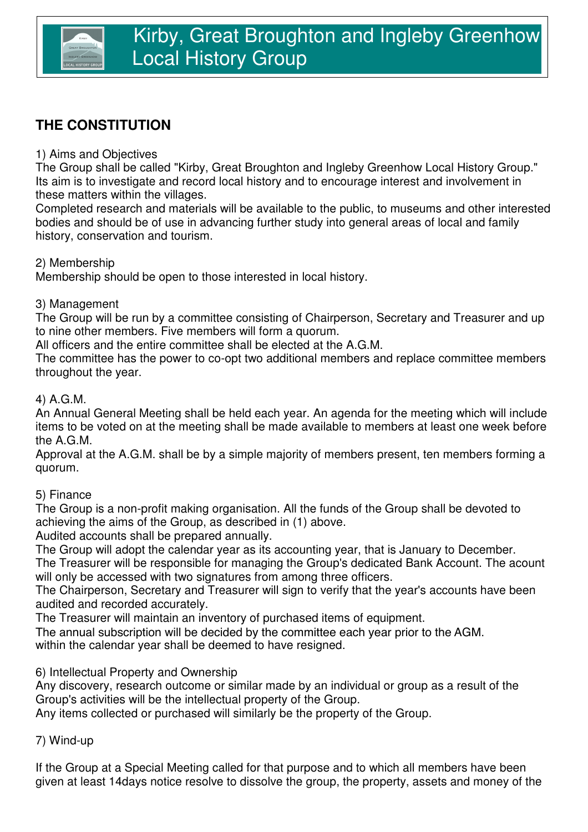# **THE CONSTITUTION**

## 1) Aims and Objectives

The Group shall be called "Kirby, Great Broughton and Ingleby Greenhow Local History Group." Its aim is to investigate and record local history and to encourage interest and involvement in these matters within the villages.

Completed research and materials will be available to the public, to museums and other interested bodies and should be of use in advancing further study into general areas of local and family history, conservation and tourism.

#### 2) Membership

Membership should be open to those interested in local history.

#### 3) Management

The Group will be run by a committee consisting of Chairperson, Secretary and Treasurer and up to nine other members. Five members will form a quorum.

All officers and the entire committee shall be elected at the A.G.M.

The committee has the power to co-opt two additional members and replace committee members throughout the year.

#### 4) A.G.M.

An Annual General Meeting shall be held each year. An agenda for the meeting which will include items to be voted on at the meeting shall be made available to members at least one week before the A.G.M.

Approval at the A.G.M. shall be by a simple majority of members present, ten members forming a quorum.

### 5) Finance

The Group is a non-profit making organisation. All the funds of the Group shall be devoted to achieving the aims of the Group, as described in (1) above.

Audited accounts shall be prepared annually.

The Group will adopt the calendar year as its accounting year, that is January to December.

The Treasurer will be responsible for managing the Group's dedicated Bank Account. The acount will only be accessed with two signatures from among three officers.

The Chairperson, Secretary and Treasurer will sign to verify that the year's accounts have been audited and recorded accurately.

The Treasurer will maintain an inventory of purchased items of equipment.

within the calendar year shall be deemed to have resigned. The annual subscription will be decided by the committee each year prior to the AGM.

6) Intellectual Property and Ownership

Any discovery, research outcome or similar made by an individual or group as a result of the Group's activities will be the intellectual property of the Group.

Any items collected or purchased will similarly be the property of the Group.

7) Wind-up

If the Group at a Special Meeting called for that purpose and to which all members have been given at least 14days notice resolve to dissolve the group, the property, assets and money of the